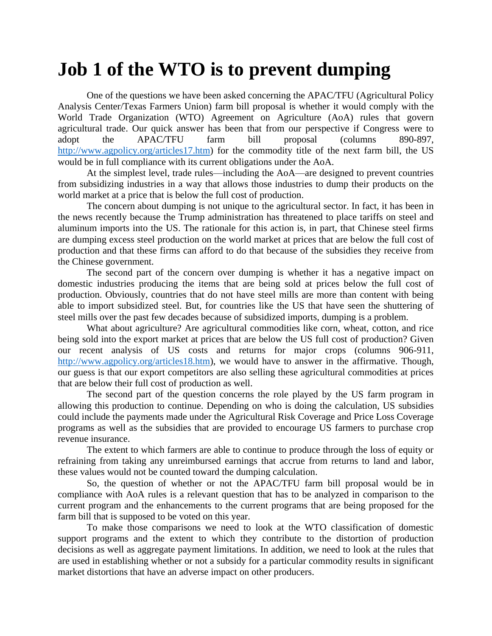## **Job 1 of the WTO is to prevent dumping**

One of the questions we have been asked concerning the APAC/TFU (Agricultural Policy Analysis Center/Texas Farmers Union) farm bill proposal is whether it would comply with the World Trade Organization (WTO) Agreement on Agriculture (AoA) rules that govern agricultural trade. Our quick answer has been that from our perspective if Congress were to adopt the APAC/TFU farm bill proposal (columns 890-897, [http://www.agpolicy.org/articles17.htm\)](http://www.agpolicy.org/articles17.htm) for the commodity title of the next farm bill, the US would be in full compliance with its current obligations under the AoA.

At the simplest level, trade rules—including the AoA—are designed to prevent countries from subsidizing industries in a way that allows those industries to dump their products on the world market at a price that is below the full cost of production.

The concern about dumping is not unique to the agricultural sector. In fact, it has been in the news recently because the Trump administration has threatened to place tariffs on steel and aluminum imports into the US. The rationale for this action is, in part, that Chinese steel firms are dumping excess steel production on the world market at prices that are below the full cost of production and that these firms can afford to do that because of the subsidies they receive from the Chinese government.

The second part of the concern over dumping is whether it has a negative impact on domestic industries producing the items that are being sold at prices below the full cost of production. Obviously, countries that do not have steel mills are more than content with being able to import subsidized steel. But, for countries like the US that have seen the shuttering of steel mills over the past few decades because of subsidized imports, dumping is a problem.

What about agriculture? Are agricultural commodities like corn, wheat, cotton, and rice being sold into the export market at prices that are below the US full cost of production? Given our recent analysis of US costs and returns for major crops (columns 906-911, [http://www.agpolicy.org/articles18.htm\)](http://www.agpolicy.org/articles18.htm), we would have to answer in the affirmative. Though, our guess is that our export competitors are also selling these agricultural commodities at prices that are below their full cost of production as well.

The second part of the question concerns the role played by the US farm program in allowing this production to continue. Depending on who is doing the calculation, US subsidies could include the payments made under the Agricultural Risk Coverage and Price Loss Coverage programs as well as the subsidies that are provided to encourage US farmers to purchase crop revenue insurance.

The extent to which farmers are able to continue to produce through the loss of equity or refraining from taking any unreimbursed earnings that accrue from returns to land and labor, these values would not be counted toward the dumping calculation.

So, the question of whether or not the APAC/TFU farm bill proposal would be in compliance with AoA rules is a relevant question that has to be analyzed in comparison to the current program and the enhancements to the current programs that are being proposed for the farm bill that is supposed to be voted on this year.

To make those comparisons we need to look at the WTO classification of domestic support programs and the extent to which they contribute to the distortion of production decisions as well as aggregate payment limitations. In addition, we need to look at the rules that are used in establishing whether or not a subsidy for a particular commodity results in significant market distortions that have an adverse impact on other producers.